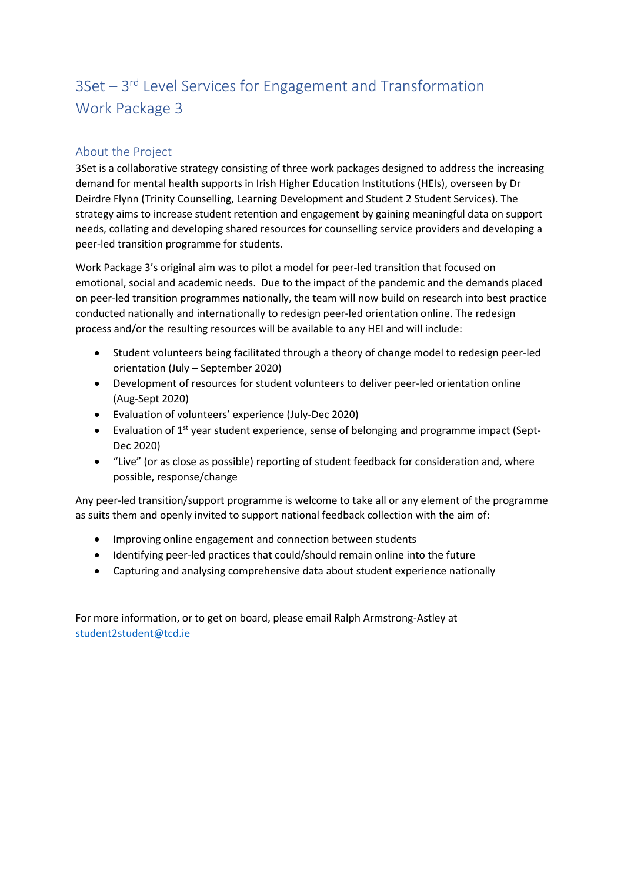# 3Set – 3 rd Level Services for Engagement and Transformation Work Package 3

## About the Project

3Set is a collaborative strategy consisting of three work packages designed to address the increasing demand for mental health supports in Irish Higher Education Institutions (HEIs), overseen by Dr Deirdre Flynn (Trinity Counselling, Learning Development and Student 2 Student Services). The strategy aims to increase student retention and engagement by gaining meaningful data on support needs, collating and developing shared resources for counselling service providers and developing a peer-led transition programme for students.

Work Package 3's original aim was to pilot a model for peer-led transition that focused on emotional, social and academic needs. Due to the impact of the pandemic and the demands placed on peer-led transition programmes nationally, the team will now build on research into best practice conducted nationally and internationally to redesign peer-led orientation online. The redesign process and/or the resulting resources will be available to any HEI and will include:

- Student volunteers being facilitated through a theory of change model to redesign peer-led orientation (July – September 2020)
- Development of resources for student volunteers to deliver peer-led orientation online (Aug-Sept 2020)
- Evaluation of volunteers' experience (July-Dec 2020)
- Evaluation of 1<sup>st</sup> year student experience, sense of belonging and programme impact (Sept-Dec 2020)
- "Live" (or as close as possible) reporting of student feedback for consideration and, where possible, response/change

Any peer-led transition/support programme is welcome to take all or any element of the programme as suits them and openly invited to support national feedback collection with the aim of:

- Improving online engagement and connection between students
- Identifying peer-led practices that could/should remain online into the future
- Capturing and analysing comprehensive data about student experience nationally

For more information, or to get on board, please email Ralph Armstrong-Astley at [student2student@tcd.ie](mailto:student2student@tcd.ie)